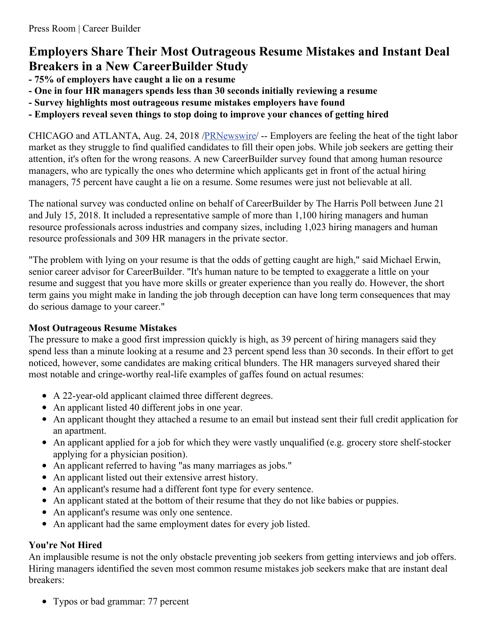# **Employers Share Their Most Outrageous Resume Mistakes and Instant Deal Breakers in a New CareerBuilder Study**

- **- 75% of employers have caught a lie on a resume**
- **- One in four HR managers spends less than 30 seconds initially reviewing a resume**
- **- Survey highlights most outrageous resume mistakes employers have found**
- **- Employers reveal seven things to stop doing to improve your chances of getting hired**

CHICAGO and ATLANTA, Aug. 24, 2018 [/PRNewswire](http://www.prnewswire.com/)/ -- Employers are feeling the heat of the tight labor market as they struggle to find qualified candidates to fill their open jobs. While job seekers are getting their attention, it's often for the wrong reasons. A new CareerBuilder survey found that among human resource managers, who are typically the ones who determine which applicants get in front of the actual hiring managers, 75 percent have caught a lie on a resume. Some resumes were just not believable at all.

The national survey was conducted online on behalf of CareerBuilder by The Harris Poll between June 21 and July 15, 2018. It included a representative sample of more than 1,100 hiring managers and human resource professionals across industries and company sizes, including 1,023 hiring managers and human resource professionals and 309 HR managers in the private sector.

"The problem with lying on your resume is that the odds of getting caught are high," said Michael Erwin, senior career advisor for CareerBuilder. "It's human nature to be tempted to exaggerate a little on your resume and suggest that you have more skills or greater experience than you really do. However, the short term gains you might make in landing the job through deception can have long term consequences that may do serious damage to your career."

# **Most Outrageous Resume Mistakes**

The pressure to make a good first impression quickly is high, as 39 percent of hiring managers said they spend less than a minute looking at a resume and 23 percent spend less than 30 seconds. In their effort to get noticed, however, some candidates are making critical blunders. The HR managers surveyed shared their most notable and cringe-worthy real-life examples of gaffes found on actual resumes:

- A 22-year-old applicant claimed three different degrees.
- An applicant listed 40 different jobs in one year.
- An applicant thought they attached a resume to an email but instead sent their full credit application for an apartment.
- An applicant applied for a job for which they were vastly unqualified (e.g. grocery store shelf-stocker applying for a physician position).
- An applicant referred to having "as many marriages as jobs."
- An applicant listed out their extensive arrest history.
- An applicant's resume had a different font type for every sentence.
- An applicant stated at the bottom of their resume that they do not like babies or puppies.
- An applicant's resume was only one sentence.
- An applicant had the same employment dates for every job listed.

# **You're Not Hired**

An implausible resume is not the only obstacle preventing job seekers from getting interviews and job offers. Hiring managers identified the seven most common resume mistakes job seekers make that are instant deal breakers:

• Typos or bad grammar: 77 percent